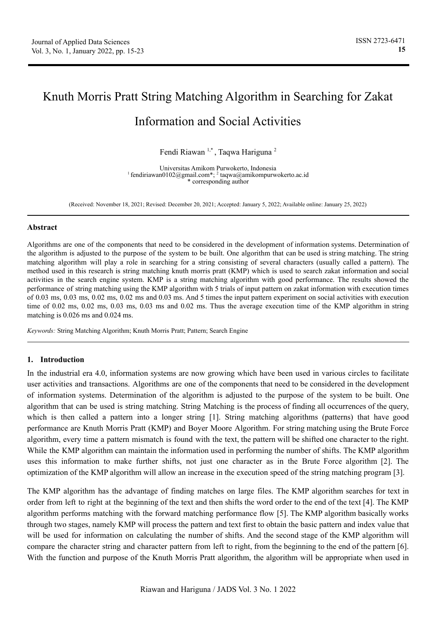# Knuth Morris Pratt String Matching Algorithm in Searching for Zakat Information and Social Activities

Fendi Riawan<sup>1,\*</sup>, Taqwa Hariguna<sup>2</sup>

Universitas Amikom Purwokerto, Indonesia <sup>1</sup> fendiriawan0102@gmail.com<sup>\*</sup>; <sup>2</sup> taqwa@amikompurwokerto.ac.id \* corresponding author

(Received: November 18, 2021; Revised: December 20, 2021; Accepted: January 5, 2022; Available online: January 25, 2022)

#### **Abstract**

Algorithms are one of the components that need to be considered in the development of information systems. Determination of the algorithm is adjusted to the purpose of the system to be built. One algorithm that can be used is string matching. The string matching algorithm will play a role in searching for a string consisting of several characters (usually called a pattern). The method used in this research is string matching knuth morris pratt (KMP) which is used to search zakat information and social activities in the search engine system. KMP is a string matching algorithm with good performance. The results showed the performance of string matching using the KMP algorithm with 5 trials of input pattern on zakat information with execution times of 0.03 ms, 0.03 ms, 0.02 ms, 0.02 ms and 0.03 ms. And 5 times the input pattern experiment on social activities with execution time of 0.02 ms, 0.02 ms, 0.03 ms, 0.03 ms and 0.02 ms. Thus the average execution time of the KMP algorithm in string matching is 0.026 ms and 0.024 ms.

*Keywords:* String Matching Algorithm; Knuth Morris Pratt; Pattern; Search Engine

#### **1. Introduction**

In the industrial era 4.0, information systems are now growing which have been used in various circles to facilitate user activities and transactions. Algorithms are one of the components that need to be considered in the development of information systems. Determination of the algorithm is adjusted to the purpose of the system to be built. One algorithm that can be used is string matching. String Matching is the process of finding all occurrences of the query, which is then called a pattern into a longer string [1]. String matching algorithms (patterns) that have good performance are Knuth Morris Pratt (KMP) and Boyer Moore Algorithm. For string matching using the Brute Force algorithm, every time a pattern mismatch is found with the text, the pattern will be shifted one character to the right. While the KMP algorithm can maintain the information used in performing the number of shifts. The KMP algorithm uses this information to make further shifts, not just one character as in the Brute Force algorithm [2]. The optimization of the KMP algorithm will allow an increase in the execution speed of the string matching program [3].

The KMP algorithm has the advantage of finding matches on large files. The KMP algorithm searches for text in order from left to right at the beginning of the text and then shifts the word order to the end of the text [4]. The KMP algorithm performs matching with the forward matching performance flow [5]. The KMP algorithm basically works through two stages, namely KMP will process the pattern and text first to obtain the basic pattern and index value that will be used for information on calculating the number of shifts. And the second stage of the KMP algorithm will compare the character string and character pattern from left to right, from the beginning to the end of the pattern [6]. With the function and purpose of the Knuth Morris Pratt algorithm, the algorithm will be appropriate when used in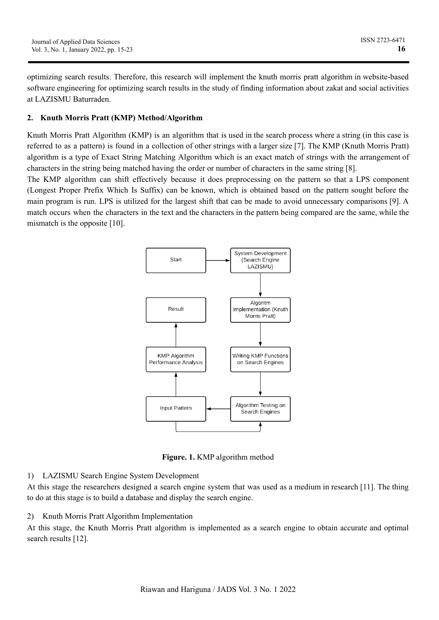optimizing search results. Therefore, this research will implement the knuth morris pratt algorithm in website-based software engineering for optimizing search results in the study of finding information about zakat and social activities at LAZISMU Baturraden.

# **2. Knuth Morris Pratt (KMP) Method/Algorithm**

Knuth Morris Pratt Algorithm (KMP) is an algorithm that is used in the search process where a string (in this case is referred to as a pattern) is found in a collection of other strings with a larger size [7]. The KMP (Knuth Morris Pratt) algorithm is a type of Exact String Matching Algorithm which is an exact match of strings with the arrangement of characters in the string being matched having the order or number of characters in the same string [8].

The KMP algorithm can shift effectively because it does preprocessing on the pattern so that a LPS component (Longest Proper Prefix Which Is Suffix) can be known, which is obtained based on the pattern sought before the main program is run. LPS is utilized for the largest shift that can be made to avoid unnecessary comparisons [9]. A match occurs when the characters in the text and the characters in the pattern being compared are the same, while the mismatch is the opposite [10].



**Figure. 1.** KMP algorithm method

# 1) LAZISMU Search Engine System Development

At this stage the researchers designed a search engine system that was used as a medium in research [11]. The thing to do at this stage is to build a database and display the search engine.

# 2) Knuth Morris Pratt Algorithm Implementation

At this stage, the Knuth Morris Pratt algorithm is implemented as a search engine to obtain accurate and optimal search results [12].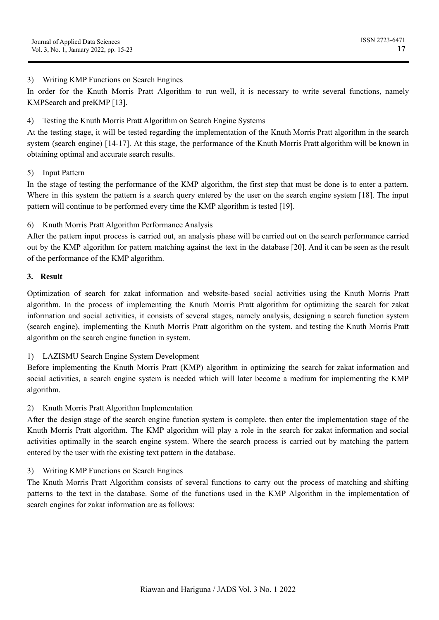# 3) Writing KMP Functions on Search Engines

In order for the Knuth Morris Pratt Algorithm to run well, it is necessary to write several functions, namely KMPSearch and preKMP [13].

4) Testing the Knuth Morris Pratt Algorithm on Search Engine Systems

At the testing stage, it will be tested regarding the implementation of the Knuth Morris Pratt algorithm in the search system (search engine) [14-17]. At this stage, the performance of the Knuth Morris Pratt algorithm will be known in obtaining optimal and accurate search results.

# 5) Input Pattern

In the stage of testing the performance of the KMP algorithm, the first step that must be done is to enter a pattern. Where in this system the pattern is a search query entered by the user on the search engine system [18]. The input pattern will continue to be performed every time the KMP algorithm is tested [19].

# 6) Knuth Morris Pratt Algorithm Performance Analysis

After the pattern input process is carried out, an analysis phase will be carried out on the search performance carried out by the KMP algorithm for pattern matching against the text in the database [20]. And it can be seen as the result of the performance of the KMP algorithm.

# **3. Result**

Optimization of search for zakat information and website-based social activities using the Knuth Morris Pratt algorithm. In the process of implementing the Knuth Morris Pratt algorithm for optimizing the search for zakat information and social activities, it consists of several stages, namely analysis, designing a search function system (search engine), implementing the Knuth Morris Pratt algorithm on the system, and testing the Knuth Morris Pratt algorithm on the search engine function in system.

# 1) LAZISMU Search Engine System Development

Before implementing the Knuth Morris Pratt (KMP) algorithm in optimizing the search for zakat information and social activities, a search engine system is needed which will later become a medium for implementing the KMP algorithm.

#### 2) Knuth Morris Pratt Algorithm Implementation

After the design stage of the search engine function system is complete, then enter the implementation stage of the Knuth Morris Pratt algorithm. The KMP algorithm will play a role in the search for zakat information and social activities optimally in the search engine system. Where the search process is carried out by matching the pattern entered by the user with the existing text pattern in the database.

#### 3) Writing KMP Functions on Search Engines

The Knuth Morris Pratt Algorithm consists of several functions to carry out the process of matching and shifting patterns to the text in the database. Some of the functions used in the KMP Algorithm in the implementation of search engines for zakat information are as follows: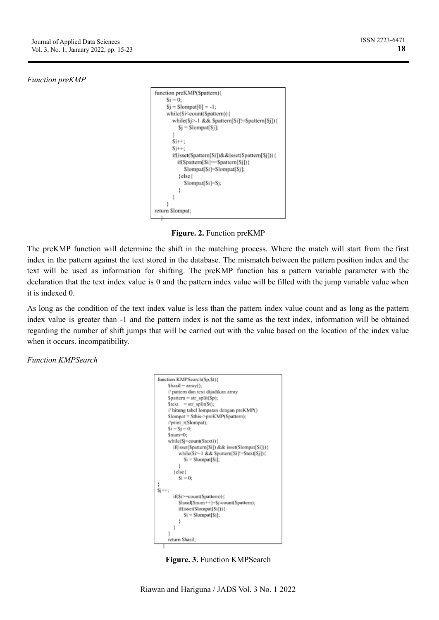# *Function preKMP*

```
function preKMP($pattern){
    Si = 0:
    Sj =Slompat[0] = -1;
    while($i<count($pattern)){
       while($j>-1 && $pattern[$i]!=$pattern[$j]){
         $j =Slompat[$j];
       $i++;5j++;
       if(isset(Spattern[$i])&&isset(Spattern[$j])){
         if(Spattern[$i]==$pattern[$j]){
            Slompat[$i]=Slompat[$j];
          \text{lelesc}Slompat[$i]=$j;
         J.
       ł
     ł
return $lompat;
```
**Figure. 2.** Function preKMP

The preKMP function will determine the shift in the matching process. Where the match will start from the first index in the pattern against the text stored in the database. The mismatch between the pattern position index and the text will be used as information for shifting. The preKMP function has a pattern variable parameter with the declaration that the text index value is 0 and the pattern index value will be filled with the jump variable value when it is indexed 0.

As long as the condition of the text index value is less than the pattern index value count and as long as the pattern index value is greater than -1 and the pattern index is not the same as the text index, information will be obtained regarding the number of shift jumps that will be carried out with the value based on the location of the index value when it occurs. incompatibility.

*Function KMPSearch*



**Figure. 3.** Function KMPSearch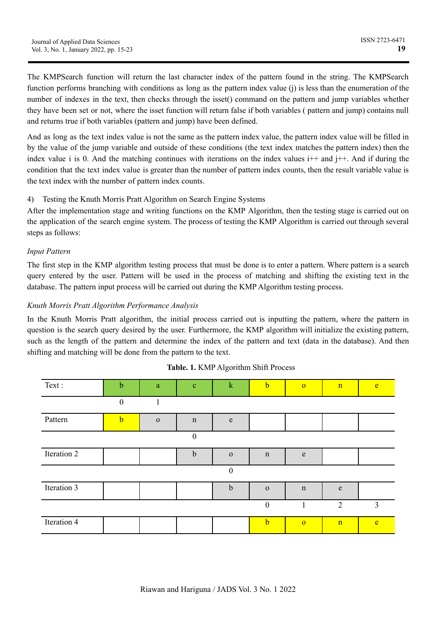The KMPSearch function will return the last character index of the pattern found in the string. The KMPSearch function performs branching with conditions as long as the pattern index value (i) is less than the enumeration of the number of indexes in the text, then checks through the isset() command on the pattern and jump variables whether they have been set or not, where the isset function will return false if both variables ( pattern and jump) contains null and returns true if both variables (pattern and jump) have been defined.

And as long as the text index value is not the same as the pattern index value, the pattern index value will be filled in by the value of the jump variable and outside of these conditions (the text index matches the pattern index) then the index value i is 0. And the matching continues with iterations on the index values  $i^{++}$  and  $i^{++}$ . And if during the condition that the text index value is greater than the number of pattern index counts, then the result variable value is the text index with the number of pattern index counts.

# 4) Testing the Knuth Morris Pratt Algorithm on Search Engine Systems

After the implementation stage and writing functions on the KMP Algorithm, then the testing stage is carried out on the application of the search engine system. The process of testing the KMP Algorithm is carried out through several steps as follows:

# *Input Pattern*

The first step in the KMP algorithm testing process that must be done is to enter a pattern. Where pattern is a search query entered by the user. Pattern will be used in the process of matching and shifting the existing text in the database. The pattern input process will be carried out during the KMP Algorithm testing process.

# *Knuth Morris Pratt Algorithm Performance Analysis*

In the Knuth Morris Pratt algorithm, the initial process carried out is inputting the pattern, where the pattern in question is the search query desired by the user. Furthermore, the KMP algorithm will initialize the existing pattern, such as the length of the pattern and determine the index of the pattern and text (data in the database). And then shifting and matching will be done from the pattern to the text.

| Text:       | $\mathbf b$      | a            | $\mathbf c$      | $\mathbf k$      | $\mathbf b$      | $\overline{O}$ | n           | e |
|-------------|------------------|--------------|------------------|------------------|------------------|----------------|-------------|---|
|             | $\boldsymbol{0}$ |              |                  |                  |                  |                |             |   |
| Pattern     | $\mathbf b$      | $\mathbf{O}$ | $\mathbf n$      | e                |                  |                |             |   |
|             |                  |              | $\boldsymbol{0}$ |                  |                  |                |             |   |
| Iteration 2 |                  |              | $\mathbf b$      | $\mathbf{O}$     | $\mathbf n$      | e              |             |   |
|             |                  |              |                  | $\boldsymbol{0}$ |                  |                |             |   |
| Iteration 3 |                  |              |                  | $\mathbf b$      | $\mathbf{O}$     | $\mathbf n$    | e           |   |
|             |                  |              |                  |                  | $\boldsymbol{0}$ |                | 2           | 3 |
| Iteration 4 |                  |              |                  |                  | $\mathbf b$      | $\overline{0}$ | $\mathbf n$ | e |

# **Table. 1.** KMP Algorithm Shift Process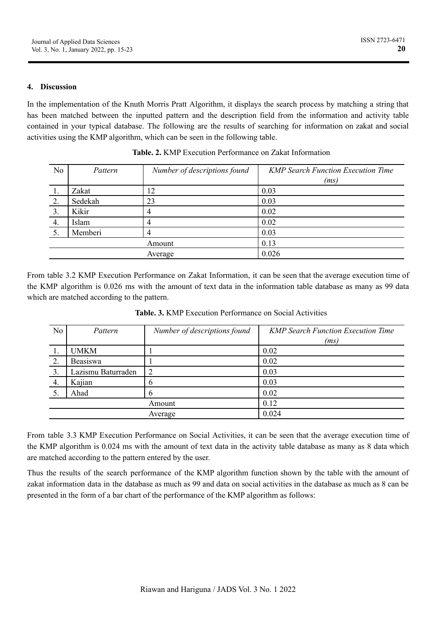#### **4. Discussion**

In the implementation of the Knuth Morris Pratt Algorithm, it displays the search process by matching a string that has been matched between the inputted pattern and the description field from the information and activity table contained in your typical database. The following are the results of searching for information on zakat and social activities using the KMP algorithm, which can be seen in the following table.

| No | Pattern | Number of descriptions found | <b>KMP Search Function Execution Time</b><br>(ms) |
|----|---------|------------------------------|---------------------------------------------------|
|    | Zakat   | 12                           | 0.03                                              |
| 2. | Sedekah | 23                           | 0.03                                              |
| 3. | Kikir   |                              | 0.02                                              |
| 4. | Islam   |                              | 0.02                                              |
|    | Memberi |                              | 0.03                                              |
|    |         | Amount                       | 0.13                                              |
|    |         | Average                      | 0.026                                             |

|  | <b>Table. 2.</b> KMP Execution Performance on Zakat Information |  |  |  |  |
|--|-----------------------------------------------------------------|--|--|--|--|
|--|-----------------------------------------------------------------|--|--|--|--|

From table 3.2 KMP Execution Performance on Zakat Information, it can be seen that the average execution time of the KMP algorithm is 0.026 ms with the amount of text data in the information table database as many as 99 data which are matched according to the pattern.

| N <sub>o</sub> | Pattern            | Number of descriptions found | <b>KMP</b> Search Function Execution Time<br>(ms) |
|----------------|--------------------|------------------------------|---------------------------------------------------|
|                | <b>UMKM</b>        |                              | 0.02                                              |
| 2.             | Beasiswa           |                              | 0.02                                              |
| 3.             | Lazismu Baturraden |                              | 0.03                                              |
| 4.             | Kajian             |                              | 0.03                                              |
|                | Ahad               |                              | 0.02                                              |
|                |                    | Amount                       | 0.12                                              |
|                |                    | Average                      | 0.024                                             |

**Table. 3.** KMP Execution Performance on Social Activities

From table 3.3 KMP Execution Performance on Social Activities, it can be seen that the average execution time of the KMP algorithm is 0.024 ms with the amount of text data in the activity table database as many as 8 data which are matched according to the pattern entered by the user.

Thus the results of the search performance of the KMP algorithm function shown by the table with the amount of zakat information data in the database as much as 99 and data on social activities in the database as much as 8 can be presented in the form of a bar chart of the performance of the KMP algorithm as follows: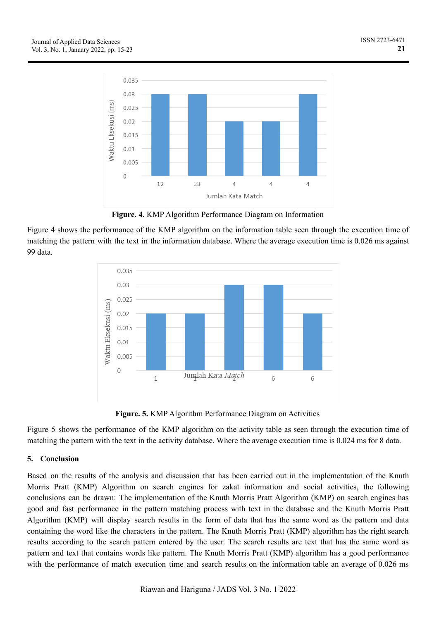

**Figure. 4.** KMP Algorithm Performance Diagram on Information

Figure 4 shows the performance of the KMP algorithm on the information table seen through the execution time of matching the pattern with the text in the information database. Where the average execution time is 0.026 ms against 99 data.



**Figure. 5.** KMP Algorithm Performance Diagram on Activities

Figure 5 shows the performance of the KMP algorithm on the activity table as seen through the execution time of matching the pattern with the text in the activity database. Where the average execution time is 0.024 ms for 8 data.

# **5. Conclusion**

Based on the results of the analysis and discussion that has been carried out in the implementation of the Knuth Morris Pratt (KMP) Algorithm on search engines for zakat information and social activities, the following conclusions can be drawn: The implementation of the Knuth Morris Pratt Algorithm (KMP) on search engines has good and fast performance in the pattern matching process with text in the database and the Knuth Morris Pratt Algorithm (KMP) will display search results in the form of data that has the same word as the pattern and data containing the word like the characters in the pattern. The Knuth Morris Pratt (KMP) algorithm has the right search results according to the search pattern entered by the user. The search results are text that has the same word as pattern and text that contains words like pattern. The Knuth Morris Pratt (KMP) algorithm has a good performance with the performance of match execution time and search results on the information table an average of 0.026 ms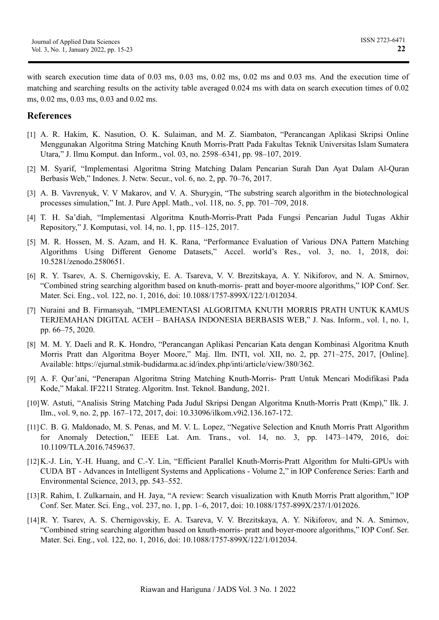with search execution time data of 0.03 ms, 0.03 ms, 0.02 ms, 0.02 ms and 0.03 ms. And the execution time of matching and searching results on the activity table averaged 0.024 ms with data on search execution times of 0.02 ms, 0.02 ms, 0.03 ms, 0.03 and 0.02 ms.

# **References**

- [1] A. R. Hakim, K. Nasution, O. K. Sulaiman, and M. Z. Siambaton, "Perancangan Aplikasi Skripsi Online Menggunakan Algoritma String Matching Knuth Morris-Pratt Pada Fakultas Teknik Universitas Islam Sumatera Utara," J. Ilmu Komput. dan Inform., vol. 03, no. 2598–6341, pp. 98–107, 2019.
- [2] M. Syarif, "Implementasi Algoritma String Matching Dalam Pencarian Surah Dan Ayat Dalam Al-Quran Berbasis Web," Indones. J. Netw. Secur., vol. 6, no. 2, pp. 70–76, 2017.
- [3] A. B. Vavrenyuk, V. V Makarov, and V. A. Shurygin, "The substring search algorithm in the biotechnological processes simulation," Int. J. Pure Appl. Math., vol. 118, no. 5, pp. 701–709, 2018.
- [4] T. H. Sa'diah, "Implementasi Algoritma Knuth-Morris-Pratt Pada Fungsi Pencarian Judul Tugas Akhir Repository," J. Komputasi, vol. 14, no. 1, pp. 115–125, 2017.
- [5] M. R. Hossen, M. S. Azam, and H. K. Rana, "Performance Evaluation of Various DNA Pattern Matching Algorithms Using Different Genome Datasets," Accel. world's Res., vol. 3, no. 1, 2018, doi: 10.5281/zenodo.2580651.
- [6] R. Y. Tsarev, A. S. Chernigovskiy, E. A. Tsareva, V. V. Brezitskaya, A. Y. Nikiforov, and N. A. Smirnov, "Combined string searching algorithm based on knuth-morris- pratt and boyer-moore algorithms," IOP Conf. Ser. Mater. Sci. Eng., vol. 122, no. 1, 2016, doi: 10.1088/1757-899X/122/1/012034.
- [7] Nuraini and B. Firmansyah, "IMPLEMENTASI ALGORITMA KNUTH MORRIS PRATH UNTUK KAMUS TERJEMAHAN DIGITAL ACEH – BAHASA INDONESIA BERBASIS WEB," J. Nas. Inform., vol. 1, no. 1, pp. 66–75, 2020.
- [8] M. M. Y. Daeli and R. K. Hondro, "Perancangan Aplikasi Pencarian Kata dengan Kombinasi Algoritma Knuth Morris Pratt dan Algoritma Boyer Moore," Maj. Ilm. INTI, vol. XII, no. 2, pp. 271–275, 2017, [Online]. Available: https://ejurnal.stmik-budidarma.ac.id/index.php/inti/article/view/380/362.
- [9] A. F. Qur'ani, "Penerapan Algoritma String Matching Knuth-Morris- Pratt Untuk Mencari Modifikasi Pada Kode," Makal. IF2211 Strateg. Algoritm. Inst. Teknol. Bandung, 2021.
- [10]W. Astuti, "Analisis String Matching Pada Judul Skripsi Dengan Algoritma Knuth-Morris Pratt (Kmp)," Ilk. J. Ilm., vol. 9, no. 2, pp. 167–172, 2017, doi: 10.33096/ilkom.v9i2.136.167-172.
- [11]C. B. G. Maldonado, M. S. Penas, and M. V. L. Lopez, "Negative Selection and Knuth Morris Pratt Algorithm for Anomaly Detection," IEEE Lat. Am. Trans., vol. 14, no. 3, pp. 1473–1479, 2016, doi: 10.1109/TLA.2016.7459637.
- [12]K.-J. Lin, Y.-H. Huang, and C.-Y. Lin, "Efficient Parallel Knuth-Morris-Pratt Algorithm for Multi-GPUs with CUDA BT - Advances in Intelligent Systems and Applications - Volume 2," in IOP Conference Series: Earth and Environmental Science, 2013, pp. 543–552.
- [13]R. Rahim, I. Zulkarnain, and H. Jaya, "A review: Search visualization with Knuth Morris Pratt algorithm," IOP Conf. Ser. Mater. Sci. Eng., vol. 237, no. 1, pp. 1–6, 2017, doi: 10.1088/1757-899X/237/1/012026.
- [14]R. Y. Tsarev, A. S. Chernigovskiy, E. A. Tsareva, V. V. Brezitskaya, A. Y. Nikiforov, and N. A. Smirnov, "Combined string searching algorithm based on knuth-morris- pratt and boyer-moore algorithms," IOP Conf. Ser. Mater. Sci. Eng., vol. 122, no. 1, 2016, doi: 10.1088/1757-899X/122/1/012034.